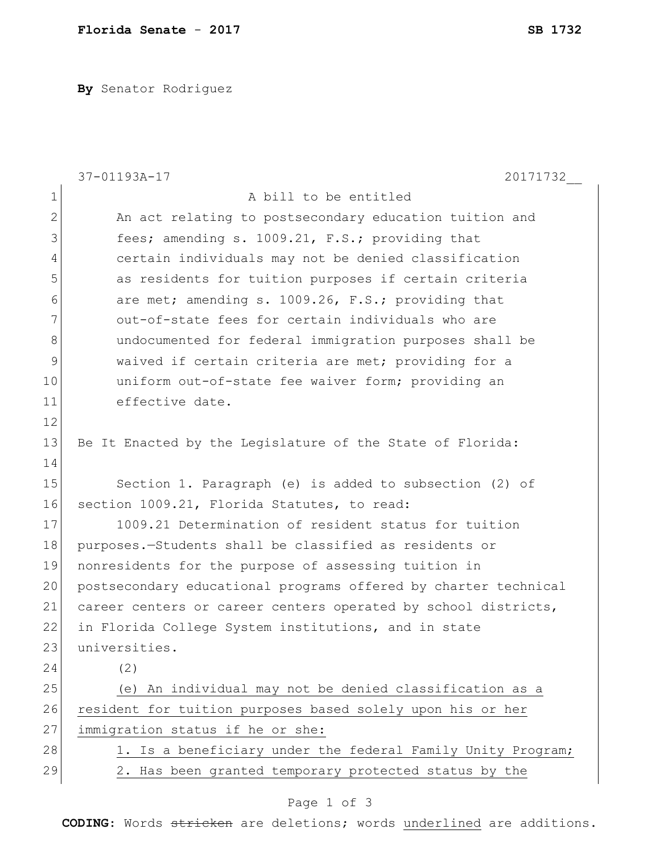**By** Senator Rodriguez

|                | 37-01193A-17<br>20171732                                        |
|----------------|-----------------------------------------------------------------|
| $\mathbf 1$    | A bill to be entitled                                           |
| $\overline{2}$ | An act relating to postsecondary education tuition and          |
| 3              | fees; amending s. 1009.21, F.S.; providing that                 |
| 4              | certain individuals may not be denied classification            |
| 5              | as residents for tuition purposes if certain criteria           |
| 6              | are met; amending s. 1009.26, F.S.; providing that              |
| 7              | out-of-state fees for certain individuals who are               |
| $8\,$          | undocumented for federal immigration purposes shall be          |
| $\mathsf 9$    | waived if certain criteria are met; providing for a             |
| 10             | uniform out-of-state fee waiver form; providing an              |
| 11             | effective date.                                                 |
| 12             |                                                                 |
| 13             | Be It Enacted by the Legislature of the State of Florida:       |
| 14             |                                                                 |
| 15             | Section 1. Paragraph (e) is added to subsection (2) of          |
| 16             | section 1009.21, Florida Statutes, to read:                     |
| 17             | 1009.21 Determination of resident status for tuition            |
| 18             | purposes.-Students shall be classified as residents or          |
| 19             | nonresidents for the purpose of assessing tuition in            |
| 20             | postsecondary educational programs offered by charter technical |
| 21             | career centers or career centers operated by school districts,  |
| 22             | in Florida College System institutions, and in state            |
| 23             | universities.                                                   |
| 24             | (2)                                                             |
| 25             | (e) An individual may not be denied classification as a         |
| 26             | resident for tuition purposes based solely upon his or her      |
| 27             | immigration status if he or she:                                |
| 28             | 1. Is a beneficiary under the federal Family Unity Program;     |
| 29             | 2. Has been granted temporary protected status by the           |
|                | Page 1 of 3                                                     |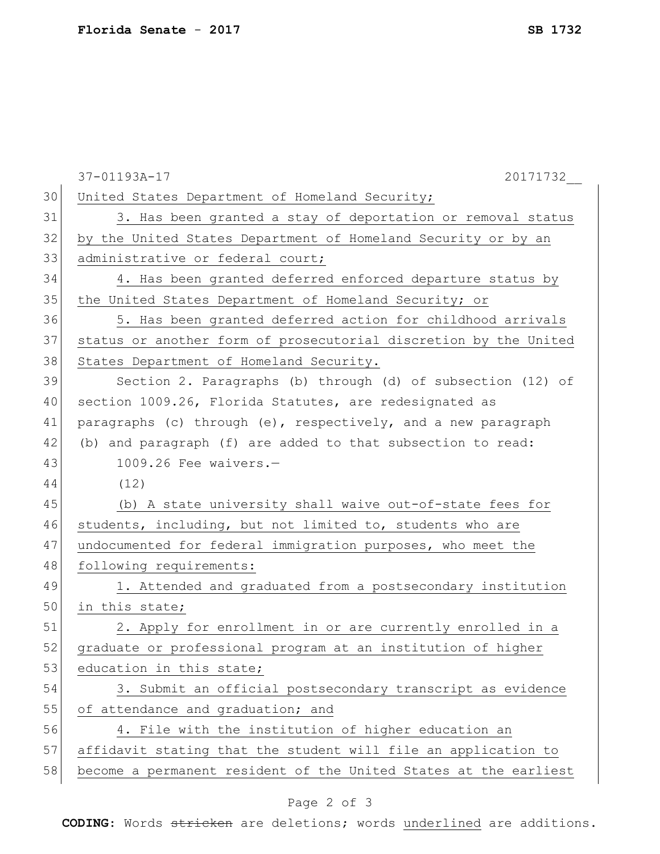|    | 37-01193A-17<br>20171732                                         |
|----|------------------------------------------------------------------|
| 30 | United States Department of Homeland Security;                   |
| 31 | 3. Has been granted a stay of deportation or removal status      |
| 32 | by the United States Department of Homeland Security or by an    |
| 33 | administrative or federal court;                                 |
| 34 | 4. Has been granted deferred enforced departure status by        |
| 35 | the United States Department of Homeland Security; or            |
| 36 | 5. Has been granted deferred action for childhood arrivals       |
| 37 | status or another form of prosecutorial discretion by the United |
| 38 | States Department of Homeland Security.                          |
| 39 | Section 2. Paragraphs (b) through (d) of subsection (12) of      |
| 40 | section 1009.26, Florida Statutes, are redesignated as           |
| 41 | paragraphs (c) through (e), respectively, and a new paragraph    |
| 42 | (b) and paragraph (f) are added to that subsection to read:      |
| 43 | $1009.26$ Fee waivers.-                                          |
| 44 | (12)                                                             |
| 45 | (b) A state university shall waive out-of-state fees for         |
| 46 | students, including, but not limited to, students who are        |
| 47 | undocumented for federal immigration purposes, who meet the      |
| 48 | following requirements:                                          |
| 49 | 1. Attended and graduated from a postsecondary institution       |
| 50 | in this state;                                                   |
| 51 | 2. Apply for enrollment in or are currently enrolled in a        |
| 52 | graduate or professional program at an institution of higher     |
| 53 | education in this state;                                         |
| 54 | 3. Submit an official postsecondary transcript as evidence       |
| 55 | of attendance and graduation; and                                |
| 56 | 4. File with the institution of higher education an              |
| 57 | affidavit stating that the student will file an application to   |
| 58 | become a permanent resident of the United States at the earliest |

## Page 2 of 3

**CODING**: Words stricken are deletions; words underlined are additions.